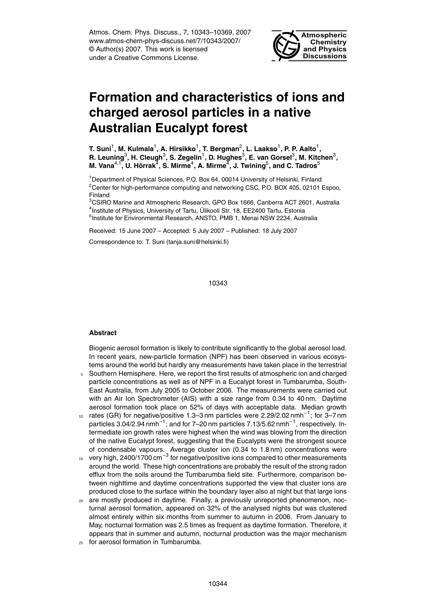Atmos. Chem. Phys. Discuss., 7, 10343–10369, 2007 www.atmos-chem-phys-discuss.net/7/10343/2007/ © Author(s) 2007. This work is licensed under a Creative Commons License.



# **Formation and characteristics of ions and charged aerosol particles in a native Australian Eucalypt forest**

T. Suni<sup>1</sup>, M. Kulmala<sup>1</sup>, A. Hirsikko<sup>1</sup>, T. Bergman<sup>2</sup>, L. Laakso<sup>1</sup>, P. P. Aalto<sup>1</sup>,  $\mathsf{R}$ . Leuning $^3$ , H. Cleugh $^3$ , S. Zegelin $^1$ , D. Hughes $^3$ , E. van Gorsel $^3$ , M. Kitchen $^3$ ,  $M$ . Vana<sup>4,1</sup>, U. Hõrrak $^{\overline{4}}$ , S. Mirme $^4$ , A. Mirme $^{\overline{4}}$ , J. Twining $^5$ , and C. Tadros $^5$ 

<sup>1</sup>Department of Physical Sciences, P.O. Box 64, 00014 University of Helsinki, Finland  $2^2$ Center for high-performance computing and networking CSC, P.O. BOX 405, 02101 Espoo, Finland

<sup>3</sup>CSIRO Marine and Atmospheric Research, GPO Box 1666, Canberra ACT 2601, Australia <sup>4</sup>Institute of Physics, University of Tartu, Ülikooli Str. 18, EE2400 Tartu, Estonia 5 Institute for Environmental Research, ANSTO, PMB 1, Menai NSW 2234, Australia

Received: 15 June 2007 – Accepted: 5 July 2007 – Published: 18 July 2007

Correspondence to: T. Suni (tanja.suni@helsinki.fi)

10343

# **Abstract**

Biogenic aerosol formation is likely to contribute significantly to the global aerosol load. In recent years, new-particle formation (NPF) has been observed in various ecosystems around the world but hardly any measurements have taken place in the terrestrial

- <sup>5</sup> Southern Hemisphere. Here, we report the first results of atmospheric ion and charged particle concentrations as well as of NPF in a Eucalypt forest in Tumbarumba, South-East Australia, from July 2005 to October 2006. The measurements were carried out with an Air Ion Spectrometer (AIS) with a size range from 0.34 to 40 nm. Daytime aerosol formation took place on 52% of days with acceptable data. Median growth
- 10 rates (GR) for negative/positive 1.3–3 nm particles were 2.29/2.02 nmh<sup>-1</sup>; for 3–7 nm particles 3.04/2.94 nmh<sup>-1</sup>; and for 7–20 nm particles 7.13/5.62 nmh<sup>-1</sup>, respectively. Intermediate ion growth rates were highest when the wind was blowing from the direction of the native Eucalypt forest, suggesting that the Eucalypts were the strongest source of condensable vapours. Average cluster ion (0.34 to 1.8 nm) concentrations were
- 15 very high, 2400/1700 cm<sup>-3</sup> for negative/positive ions compared to other measurements around the world. These high concentrations are probably the result of the strong radon efflux from the soils around the Tumbarumba field site. Furthermore, comparison between nighttime and daytime concentrations supported the view that cluster ions are produced close to the surface within the boundary layer also at night but that large ions
- <sup>20</sup> are mostly produced in daytime. Finally, a previously unreported phenomenon, nocturnal aerosol formation, appeared on 32% of the analysed nights but was clustered almost entirely within six months from summer to autumn in 2006. From January to May, nocturnal formation was 2.5 times as frequent as daytime formation. Therefore, it appears that in summer and autumn, nocturnal production was the major mechanism
- <sup>25</sup> for aerosol formation in Tumbarumba.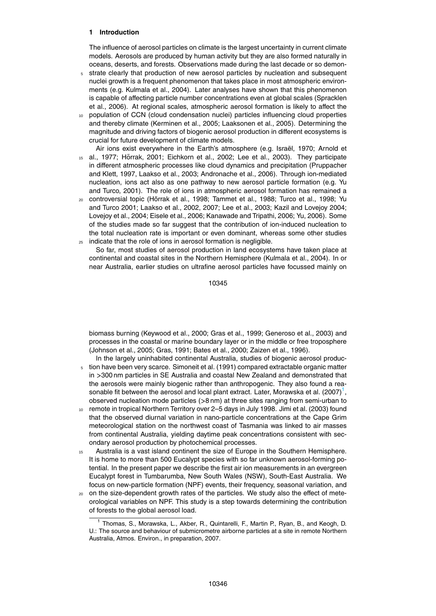# **1 Introduction**

The influence of aerosol particles on climate is the largest uncertainty in current climate models. Aerosols are produced by human activity but they are also formed naturally in oceans, deserts, and forests. Observations made during the last decade or so demon-

- <sup>5</sup> strate clearly that production of new aerosol particles by nucleation and subsequent nuclei growth is a frequent phenomenon that takes place in most atmospheric environments (e.g. Kulmala et al., 2004). Later analyses have shown that this phenomenon is capable of affecting particle number concentrations even at global scales (Spracklen et al., 2006). At regional scales, atmospheric aerosol formation is likely to affect the
- <sup>10</sup> population of CCN (cloud condensation nuclei) particles influencing cloud properties and thereby climate (Kerminen et al., 2005; Laaksonen et al., 2005). Determining the magnitude and driving factors of biogenic aerosol production in different ecosystems is crucial for future development of climate models.
- Air ions exist everywhere in the Earth's atmosphere (e.g. Israël, 1970; Arnold et  $15$  al., 1977; H $\ddot{\text{or}}$ rak, 2001; Eichkorn et al., 2002; Lee et al., 2003). They participate in different atmospheric processes like cloud dynamics and precipitation (Pruppacher and Klett, 1997, Laakso et al., 2003; Andronache et al., 2006). Through ion-mediated nucleation, ions act also as one pathway to new aerosol particle formation (e.g. Yu and Turco, 2001). The role of ions in atmospheric aerosol formation has remained a
- 20 controversial topic (Hõrrak et al., 1998; Tammet et al., 1988; Turco et al., 1998; Yu and Turco 2001; Laakso et al., 2002, 2007; Lee et al., 2003; Kazil and Lovejoy 2004; Lovejoy et al., 2004; Eisele et al., 2006; Kanawade and Tripathi, 2006; Yu, 2006). Some of the studies made so far suggest that the contribution of ion-induced nucleation to the total nucleation rate is important or even dominant, whereas some other studies <sup>25</sup> indicate that the role of ions in aerosol formation is negligible.
	- So far, most studies of aerosol production in land ecosystems have taken place at continental and coastal sites in the Northern Hemisphere (Kulmala et al., 2004). In or near Australia, earlier studies on ultrafine aerosol particles have focussed mainly on

10345

biomass burning (Keywood et al., 2000; Gras et al., 1999; Generoso et al., 2003) and processes in the coastal or marine boundary layer or in the middle or free troposphere (Johnson et al., 2005; Gras, 1991; Bates et al., 2000; Zaizen et al., 1996).

- In the largely uninhabited continental Australia, studies of biogenic aerosol produc-<sup>5</sup> tion have been very scarce. Simoneit et al. (1991) compared extractable organic matter in *>*300 nm particles in SE Australia and coastal New Zealand and demonstrated that the aerosols were mainly biogenic rather than anthropogenic. They also found a reasonable fit between the aerosol and local plant extract. Later, Morawska et al.  $(2007)^1$ , observed nucleation mode particles (*>*8 nm) at three sites ranging from semi-urban to
- <sup>10</sup> remote in tropical Northern Territory over 2–5 days in July 1998. Jimi et al. (2003) found that the observed diurnal variation in nano-particle concentrations at the Cape Grim meteorological station on the northwest coast of Tasmania was linked to air masses from continental Australia, yielding daytime peak concentrations consistent with secondary aerosol production by photochemical processes.
- 15 Australia is a vast island continent the size of Europe in the Southern Hemisphere. It is home to more than 500 Eucalypt species with so far unknown aerosol-forming potential. In the present paper we describe the first air ion measurements in an evergreen Eucalypt forest in Tumbarumba, New South Wales (NSW), South-East Australia. We focus on new-particle formation (NPF) events, their frequency, seasonal variation, and
- <sub>20</sub> on the size-dependent growth rates of the particles. We study also the effect of meteorological variables on NPF. This study is a step towards determining the contribution of forests to the global aerosol load.

<sup>1</sup> Thomas, S., Morawska, L., Akber, R., Quintarelli, F., Martin P., Ryan, B., and Keogh, D. U.: The source and behaviour of submicrometre airborne particles at a site in remote Northern Australia, Atmos. Environ., in preparation, 2007.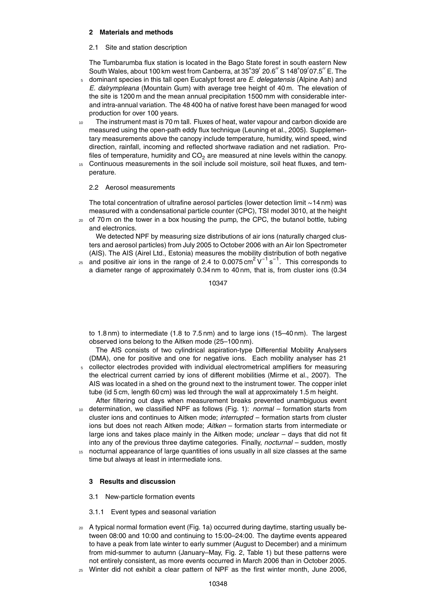# **2 Materials and methods**

# 2.1 Site and station description

The Tumbarumba flux station is located in the Bago State forest in south eastern New South Wales, about 100 km west from Canberra, at 35°39' 20.6" S 148°09'07.5" E. The

- <sup>5</sup> dominant species in this tall open Eucalypt forest are *E. delegatensis* (Alpine Ash) and *E. dalrympleana* (Mountain Gum) with average tree height of 40 m. The elevation of the site is 1200 m and the mean annual precipitation 1500 mm with considerable interand intra-annual variation. The 48 400 ha of native forest have been managed for wood production for over 100 years.
- <sup>10</sup> The instrument mast is 70 m tall. Fluxes of heat, water vapour and carbon dioxide are measured using the open-path eddy flux technique (Leuning et al., 2005). Supplementary measurements above the canopy include temperature, humidity, wind speed, wind direction, rainfall, incoming and reflected shortwave radiation and net radiation. Profiles of temperature, humidity and  $CO<sub>2</sub>$  are measured at nine levels within the canopy.
- <sup>15</sup> Continuous measurements in the soil include soil moisture, soil heat fluxes, and temperature.

# 2.2 Aerosol measurements

The total concentration of ultrafine aerosol particles (lower detection limit ∼14 nm) was measured with a condensational particle counter (CPC), TSI model 3010, at the height  $20$  of 70 m on the tower in a box housing the pump, the CPC, the butanol bottle, tubing

and electronics.

We detected NPF by measuring size distributions of air ions (naturally charged clusters and aerosol particles) from July 2005 to October 2006 with an Air Ion Spectrometer (AIS). The AIS (Airel Ltd., Estonia) measures the mobility distribution of both negative

 $_{25}$  and positive air ions in the range of 2.4 to 0.0075 cm<sup>2</sup> V<sup>-1</sup> s<sup>-1</sup>. This corresponds to a diameter range of approximately 0.34 nm to 40 nm, that is, from cluster ions (0.34

10347

to 1.8 nm) to intermediate (1.8 to 7.5 nm) and to large ions (15–40 nm). The largest observed ions belong to the Aitken mode (25–100 nm).

The AIS consists of two cylindrical aspiration-type Differential Mobility Analysers (DMA), one for positive and one for negative ions. Each mobility analyser has 21

- <sup>5</sup> collector electrodes provided with individual electrometrical amplifiers for measuring the electrical current carried by ions of different mobilities (Mirme et al., 2007). The AIS was located in a shed on the ground next to the instrument tower. The copper inlet tube (id 5 cm, length 60 cm) was led through the wall at approximately 1.5 m height.
- After filtering out days when measurement breaks prevented unambiguous event <sup>10</sup> determination, we classified NPF as follows (Fig. 1): *normal* – formation starts from cluster ions and continues to Aitken mode; *interrupted* – formation starts from cluster ions but does not reach Aitken mode; *Aitken* – formation starts from intermediate or large ions and takes place mainly in the Aitken mode; *unclear* – days that did not fit into any of the previous three daytime categories. Finally, *nocturnal* – sudden, mostly <sup>15</sup> nocturnal appearance of large quantities of ions usually in all size classes at the same
- time but always at least in intermediate ions.

# **3 Results and discussion**

- 3.1 New-particle formation events
- 3.1.1 Event types and seasonal variation
- <sup>20</sup> A typical normal formation event (Fig. 1a) occurred during daytime, starting usually between 08:00 and 10:00 and continuing to 15:00–24:00. The daytime events appeared to have a peak from late winter to early summer (August to December) and a minimum from mid-summer to autumn (January–May, Fig. 2, Table 1) but these patterns were not entirely consistent, as more events occurred in March 2006 than in October 2005.
- <sup>25</sup> Winter did not exhibit a clear pattern of NPF as the first winter month, June 2006,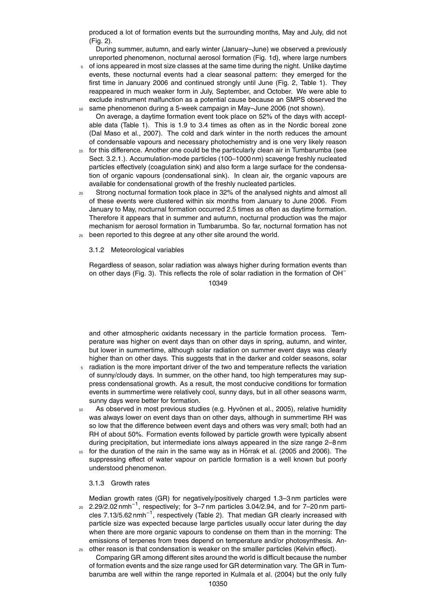produced a lot of formation events but the surrounding months, May and July, did not (Fig. 2).

During summer, autumn, and early winter (January–June) we observed a previously unreported phenomenon, nocturnal aerosol formation (Fig. 1d), where large numbers

- <sup>5</sup> of ions appeared in most size classes at the same time during the night. Unlike daytime events, these nocturnal events had a clear seasonal pattern: they emerged for the first time in January 2006 and continued strongly until June (Fig. 2, Table 1). They reappeared in much weaker form in July, September, and October. We were able to exclude instrument malfunction as a potential cause because an SMPS observed the
- same phenomenon during a 5-week campaign in May–June 2006 (not shown). On average, a daytime formation event took place on 52% of the days with acceptable data (Table 1). This is 1.9 to 3.4 times as often as in the Nordic boreal zone (Dal Maso et al., 2007). The cold and dark winter in the north reduces the amount of condensable vapours and necessary photochemistry and is one very likely reason
- <sup>15</sup> for this difference. Another one could be the particularly clean air in Tumbarumba (see Sect. 3.2.1.). Accumulation-mode particles (100–1000 nm) scavenge freshly nucleated particles effectively (coagulation sink) and also form a large surface for the condensation of organic vapours (condensational sink). In clean air, the organic vapours are available for condensational growth of the freshly nucleated particles.
- <sup>20</sup> Strong nocturnal formation took place in 32% of the analysed nights and almost all of these events were clustered within six months from January to June 2006. From January to May, nocturnal formation occurred 2.5 times as often as daytime formation. Therefore it appears that in summer and autumn, nocturnal production was the major mechanism for aerosol formation in Tumbarumba. So far, nocturnal formation has not <sup>25</sup> been reported to this degree at any other site around the world.

## 3.1.2 Meteorological variables

Regardless of season, solar radiation was always higher during formation events than on other days (Fig. 3). This reflects the role of solar radiation in the formation of OH<sup>−</sup> 10349

and other atmospheric oxidants necessary in the particle formation process. Temperature was higher on event days than on other days in spring, autumn, and winter, but lower in summertime, although solar radiation on summer event days was clearly higher than on other days. This suggests that in the darker and colder seasons, solar

- <sup>5</sup> radiation is the more important driver of the two and temperature reflects the variation of sunny/cloudy days. In summer, on the other hand, too high temperatures may suppress condensational growth. As a result, the most conducive conditions for formation events in summertime were relatively cool, sunny days, but in all other seasons warm, sunny days were better for formation.
- 10 As observed in most previous studies (e.g. Hyvönen et al., 2005), relative humidity was always lower on event days than on other days, although in summertime RH was so low that the difference between event days and others was very small; both had an RH of about 50%. Formation events followed by particle growth were typically absent during precipitation, but intermediate ions always appeared in the size range 2–8 nm
- for the duration of the rain in the same way as in Horrak et al. (2005 and 2006). The suppressing effect of water vapour on particle formation is a well known but poorly understood phenomenon.

#### 3.1.3 Growth rates

Median growth rates (GR) for negatively/positively charged 1.3–3 nm particles were  $_{20}$  2.29/2.02 nmh<sup>-1</sup>, respectively; for 3–7 nm particles 3.04/2.94, and for 7–20 nm particles 7.13/5.62 nmh<sup>-1</sup>, respectively (Table 2). That median GR clearly increased with particle size was expected because large particles usually occur later during the day when there are more organic vapours to condense on them than in the morning: The emissions of terpenes from trees depend on temperature and/or photosynthesis. An- $25$  other reason is that condensation is weaker on the smaller particles (Kelvin effect).

Comparing GR among different sites around the world is difficult because the number of formation events and the size range used for GR determination vary. The GR in Tumbarumba are well within the range reported in Kulmala et al. (2004) but the only fully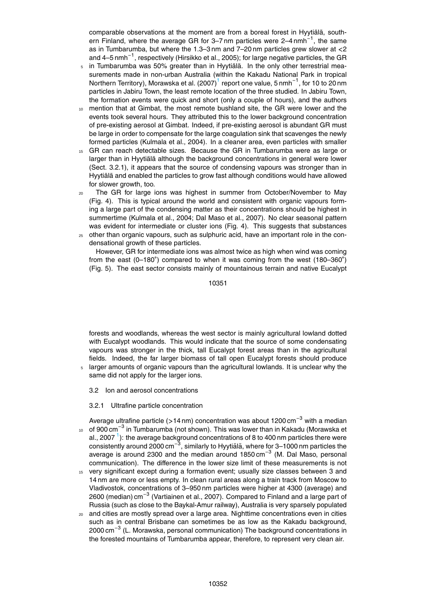comparable observations at the moment are from a boreal forest in Hyytiälä, southern Finland, where the average GR for 3-7 nm particles were 2-4 nmh<sup>-1</sup>, the same as in Tumbarumba, but where the 1.3–3 nm and 7–20 nm particles grew slower at *<*2 and 4–5 nmh−<sup>1</sup> , respectively (Hirsikko et al., 2005); for large negative particles, the GR

- $5$  in Tumbarumba was 50% greater than in Hyytiälä. In the only other terrestrial measurements made in non-urban Australia (within the Kakadu National Park in tropical Northern Territory), Morawska et al. (2007)<sup>1</sup> report one value, 5 nmh<sup>-1</sup>, for 10 to 20 nm particles in Jabiru Town, the least remote location of the three studied. In Jabiru Town, the formation events were quick and short (only a couple of hours), and the authors
- mention that at Gimbat, the most remote bushland site, the GR were lower and the events took several hours. They attributed this to the lower background concentration of pre-existing aerosol at Gimbat. Indeed, if pre-existing aerosol is abundant GR must be large in order to compensate for the large coagulation sink that scavenges the newly formed particles (Kulmala et al., 2004). In a cleaner area, even particles with smaller
- <sup>15</sup> GR can reach detectable sizes. Because the GR in Tumbarumba were as large or larger than in Hyytiälä although the background concentrations in general were lower (Sect. 3.2.1), it appears that the source of condensing vapours was stronger than in Hyytiälä and enabled the particles to grow fast although conditions would have allowed for slower growth, too.
- <sup>20</sup> The GR for large ions was highest in summer from October/November to May (Fig. 4). This is typical around the world and consistent with organic vapours forming a large part of the condensing matter as their concentrations should be highest in summertime (Kulmala et al., 2004; Dal Maso et al., 2007). No clear seasonal pattern was evident for intermediate or cluster ions (Fig. 4). This suggests that substances
- $25$  other than organic vapours, such as sulphuric acid, have an important role in the condensational growth of these particles.

However, GR for intermediate ions was almost twice as high when wind was coming from the east (0-180 $^{\circ}$ ) compared to when it was coming from the west (180-360 $^{\circ}$ ) (Fig. 5). The east sector consists mainly of mountainous terrain and native Eucalypt

10351

forests and woodlands, whereas the west sector is mainly agricultural lowland dotted with Eucalypt woodlands. This would indicate that the source of some condensating vapours was stronger in the thick, tall Eucalypt forest areas than in the agricultural fields. Indeed, the far larger biomass of tall open Eucalypt forests should produce

- larger amounts of organic vapours than the agricultural lowlands. It is unclear why the same did not apply for the larger ions.
	- 3.2 Ion and aerosol concentrations
	- 3.2.1 Ultrafine particle concentration

Average ultrafine particle (*>*14 nm) concentration was about 1200 cm−<sup>3</sup> with a median <sup>10</sup> of 900 cm<sup>−3</sup> in Tumbarumba (not shown). This was lower than in Kakadu (Morawska et al., 2007  $^1$ ): the average background concentrations of 8 to 400 nm particles there were consistently around 2000 cm<sup>-3</sup>, similarly to Hyytiälä, where for 3–1000 nm particles the average is around 2300 and the median around 1850 cm−<sup>3</sup> (M. Dal Maso, personal communication). The difference in the lower size limit of these measurements is not

- <sup>15</sup> very significant except during a formation event; usually size classes between 3 and 14 nm are more or less empty. In clean rural areas along a train track from Moscow to Vladivostok, concentrations of 3–950 nm particles were higher at 4300 (average) and 2600 (median) cm<sup>−3</sup> (Vartiainen et al., 2007). Compared to Finland and a large part of Russia (such as close to the Baykal-Amur railway), Australia is very sparsely populated
- <sup>20</sup> and cities are mostly spread over a large area. Nighttime concentrations even in cities such as in central Brisbane can sometimes be as low as the Kakadu background, 2000 cm<sup>−3</sup> (L. Morawska, personal communication) The background concentrations in the forested mountains of Tumbarumba appear, therefore, to represent very clean air.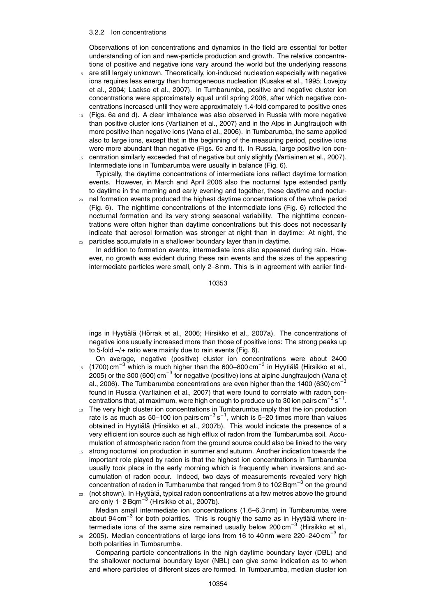#### 3.2.2 Ion concentrations

Observations of ion concentrations and dynamics in the field are essential for better understanding of ion and new-particle production and growth. The relative concentrations of positive and negative ions vary around the world but the underlying reasons

- <sup>5</sup> are still largely unknown. Theoretically, ion-induced nucleation especially with negative ions requires less energy than homogeneous nucleation (Kusaka et al., 1995; Lovejoy et al., 2004; Laakso et al., 2007). In Tumbarumba, positive and negative cluster ion concentrations were approximately equal until spring 2006, after which negative concentrations increased until they were approximately 1.4-fold compared to positive ones
- <sup>10</sup> (Figs. 6a and d). A clear imbalance was also observed in Russia with more negative than positive cluster ions (Vartiainen et al., 2007) and in the Alps in Jungfraujoch with more positive than negative ions (Vana et al., 2006). In Tumbarumba, the same applied also to large ions, except that in the beginning of the measuring period, positive ions were more abundant than negative (Figs. 6c and f). In Russia, large positive ion con-
- <sup>15</sup> centration similarly exceeded that of negative but only slightly (Vartiainen et al., 2007). Intermediate ions in Tumbarumba were usually in balance (Fig. 6).

Typically, the daytime concentrations of intermediate ions reflect daytime formation events. However, in March and April 2006 also the nocturnal type extended partly to daytime in the morning and early evening and together, these daytime and noctur-

- <sup>20</sup> nal formation events produced the highest daytime concentrations of the whole period (Fig. 6). The nighttime concentrations of the intermediate ions (Fig. 6) reflected the nocturnal formation and its very strong seasonal variability. The nighttime concentrations were often higher than daytime concentrations but this does not necessarily indicate that aerosol formation was stronger at night than in daytime: At night, the <sup>25</sup> particles accumulate in a shallower boundary layer than in daytime.
	- In addition to formation events, intermediate ions also appeared during rain. However, no growth was evident during these rain events and the sizes of the appearing intermediate particles were small, only 2–8 nm. This is in agreement with earlier find-

10353

ings in Hyytiälä (Hõrrak et al., 2006; Hirsikko et al., 2007a). The concentrations of negative ions usually increased more than those of positive ions: The strong peaks up to 5-fold –/+ ratio were mainly due to rain events (Fig. 6).

- On average, negative (positive) cluster ion concentrations were about 2400  $5 \times (1700)$  cm<sup>−3</sup> which is much higher than the 600–800 cm<sup>−3</sup> in Hyytiälä (Hirsikko et al., 2005) or the 300 (600) cm<sup>−3</sup> for negative (positive) ions at alpine Jungfraujoch (Vana et al., 2006). The Tumbarumba concentrations are even higher than the 1400 (630) cm<sup>-3</sup> found in Russia (Vartiainen et al., 2007) that were found to correlate with radon concentrations that, at maximum, were high enough to produce up to 30 ion pairs cm $^{-3}$  s $^{-1}$ .
- <sup>10</sup> The very high cluster ion concentrations in Tumbarumba imply that the ion production rate is as much as 50-100 ion pairs cm<sup>-3</sup>s<sup>-1</sup>, which is 5-20 times more than values obtained in Hyytiälä (Hirsikko et al., 2007b). This would indicate the presence of a very efficient ion source such as high efflux of radon from the Tumbarumba soil. Accumulation of atmospheric radon from the ground source could also be linked to the very
- <sup>15</sup> strong nocturnal ion production in summer and autumn. Another indication towards the important role played by radon is that the highest ion concentrations in Tumbarumba usually took place in the early morning which is frequently when inversions and accumulation of radon occur. Indeed, two days of measurements revealed very high concentration of radon in Tumbarumba that ranged from 9 to 102 Bqm<sup>-3</sup> on the ground
- 20 (not shown). In Hyytiälä, typical radon concentrations at a few metres above the ground are only 1-2 Bqm $^{-3}$  (Hirsikko et al., 2007b). Median small intermediate ion concentrations (1.6–6.3 nm) in Tumbarumba were about 94 cm<sup>-3</sup> for both polarities. This is roughly the same as in Hyytiälä where intermediate ions of the same size remained usually below 200 cm<sup>-3</sup> (Hirsikko et al.,
- 25 2005). Median concentrations of large ions from 16 to 40 nm were 220–240 cm<sup>-3</sup> for both polarities in Tumbarumba.

Comparing particle concentrations in the high daytime boundary layer (DBL) and the shallower nocturnal boundary layer (NBL) can give some indication as to when and where particles of different sizes are formed. In Tumbarumba, median cluster ion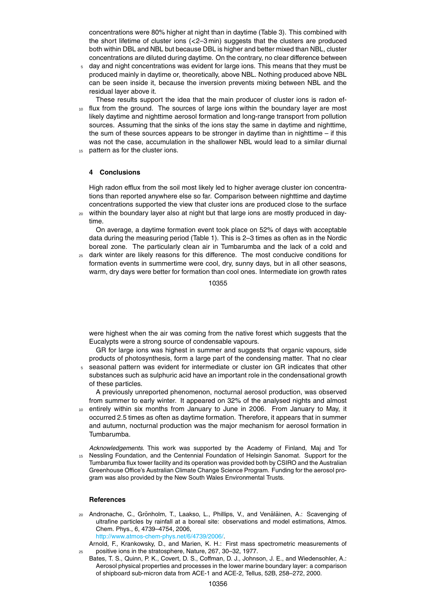concentrations were 80% higher at night than in daytime (Table 3). This combined with the short lifetime of cluster ions (*<*2–3 min) suggests that the clusters are produced both within DBL and NBL but because DBL is higher and better mixed than NBL, cluster concentrations are diluted during daytime. On the contrary, no clear difference between

<sup>5</sup> day and night concentrations was evident for large ions. This means that they must be produced mainly in daytime or, theoretically, above NBL. Nothing produced above NBL can be seen inside it, because the inversion prevents mixing between NBL and the residual layer above it.

These results support the idea that the main producer of cluster ions is radon ef-

- <sup>10</sup> flux from the ground. The sources of large ions within the boundary layer are most likely daytime and nighttime aerosol formation and long-range transport from pollution sources. Assuming that the sinks of the ions stay the same in daytime and nighttime, the sum of these sources appears to be stronger in daytime than in nighttime – if this was not the case, accumulation in the shallower NBL would lead to a similar diurnal
- 15 pattern as for the cluster ions.

# **4 Conclusions**

High radon efflux from the soil most likely led to higher average cluster ion concentrations than reported anywhere else so far. Comparison between nighttime and daytime concentrations supported the view that cluster ions are produced close to the surface

<sup>20</sup> within the boundary layer also at night but that large ions are mostly produced in daytime.

On average, a daytime formation event took place on 52% of days with acceptable data during the measuring period (Table 1). This is 2–3 times as often as in the Nordic boreal zone. The particularly clean air in Tumbarumba and the lack of a cold and

<sup>25</sup> dark winter are likely reasons for this difference. The most conducive conditions for formation events in summertime were cool, dry, sunny days, but in all other seasons, warm, dry days were better for formation than cool ones. Intermediate ion growth rates

10355

were highest when the air was coming from the native forest which suggests that the Eucalypts were a strong source of condensable vapours.

GR for large ions was highest in summer and suggests that organic vapours, side products of photosynthesis, form a large part of the condensing matter. That no clear

<sup>5</sup> seasonal pattern was evident for intermediate or cluster ion GR indicates that other substances such as sulphuric acid have an important role in the condensational growth of these particles.

A previously unreported phenomenon, nocturnal aerosol production, was observed from summer to early winter. It appeared on 32% of the analysed nights and almost

- <sup>10</sup> entirely within six months from January to June in 2006. From January to May, it occurred 2.5 times as often as daytime formation. Therefore, it appears that in summer and autumn, nocturnal production was the major mechanism for aerosol formation in Tumbarumba.
- *Acknowledgements.* This work was supported by the Academy of Finland, Maj and Tor <sup>15</sup> Nessling Foundation, and the Centennial Foundation of Helsingin Sanomat. Support for the Tumbarumba flux tower facility and its operation was provided both by CSIRO and the Australian Greenhouse Office's Australian Climate Change Science Program. Funding for the aerosol program was also provided by the New South Wales Environmental Trusts.

## **References**

20 Andronache, C., Grönholm, T., Laakso, L., Phillips, V., and Venäläinen, A.: Scavenging of ultrafine particles by rainfall at a boreal site: observations and model estimations, Atmos. Chem. Phys., 6, 4739–4754, 2006, http://www.atmos-chem-phys.net/6/4739/2006/.

Arnold, F., Krankowsky, D., and Marien, K. H.: First mass spectrometric measurements of

- <sup>25</sup> positive ions in the stratosphere, Nature, 267, 30–32, 1977. Bates, T. S., Quinn, P. K., Covert, D. S., Coffman, D. J., Johnson, J. E., and Wiedensohler, A.:
	- Aerosol physical properties and processes in the lower marine boundary layer: a comparison of shipboard sub-micron data from ACE-1 and ACE-2, Tellus, 52B, 258–272, 2000.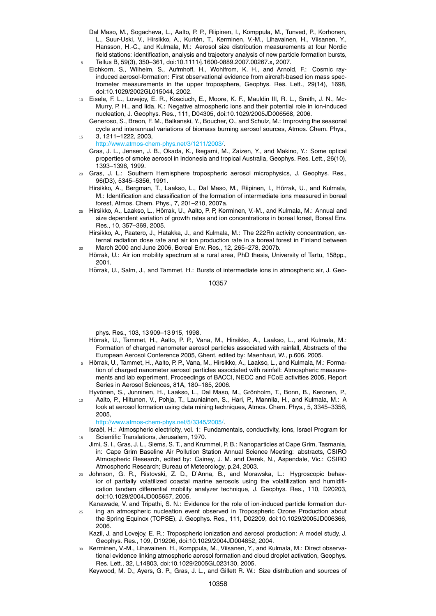- Dal Maso, M., Sogacheva, L., Aalto, P. P., Riipinen, I., Komppula, M., Tunved, P., Korhonen, L., Suur-Uski, V., Hirsikko, A., Kurtén, T., Kerminen, V.-M., Lihavainen, H., Viisanen, Y., Hansson, H.-C., and Kulmala, M.: Aerosol size distribution measurements at four Nordic field stations: identification, analysis and trajectory analysis of new particle formation bursts, <sup>5</sup> Tellus B, 59(3), 350–361, doi:10.1111/j.1600-0889.2007.00267.x, 2007.
- Eichkorn, S., Wilhelm, S., Aufmhoff, H., Wohlfrom, K. H., and Arnold, F.: Cosmic rayinduced aerosol-formation: First observational evidence from aircraft-based ion mass spectrometer measurements in the upper troposphere, Geophys. Res. Lett., 29(14), 1698, doi:10.1029/2002GL015044, 2002.
- <sup>10</sup> Eisele, F. L., Lovejoy, E. R., Kosciuch, E., Moore, K. F., Mauldin III, R. L., Smith, J. N., Mc-Murry, P. H., and Iida, K.: Negative atmospheric ions and their potential role in ion-induced nucleation, J. Geophys. Res., 111, D04305, doi:10.1029/2005JD006568, 2006.
- Generoso, S., Breon, F. M., Balkanski, Y., Boucher, O., and Schulz, M.: Improving the seasonal cycle and interannual variations of biomass burning aerosol sources, Atmos. Chem. Phys., <sup>15</sup> 3, 1211–1222, 2003,
	- http://www.atmos-chem-phys.net/3/1211/2003/.
	- Gras, J. L., Jensen, J. B., Okada, K., Ikegami, M., Zaizen, Y., and Makino, Y.: Some optical properties of smoke aerosol in Indonesia and tropical Australia, Geophys. Res. Lett., 26(10), 1393–1396, 1999.
- <sup>20</sup> Gras, J. L.: Southern Hemisphere tropospheric aerosol microphysics, J. Geophys. Res., 96(D3), 5345–5356, 1991.
	- Hirsikko, A., Bergman, T., Laakso, L., Dal Maso, M., Riipinen, I., Horrak, U., and Kulmala, M.: Identification and classification of the formation of intermediate ions measured in boreal forest, Atmos. Chem. Phys., 7, 201–210, 2007a.
- 25 Hirsikko, A., Laakso, L., Hõrrak, U., Aalto, P. P, Kerminen, V.-M., and Kulmala, M.: Annual and size dependent variation of growth rates and ion concentrations in boreal forest, Boreal Env. Res., 10, 357–369, 2005.
	- Hirsikko, A., Paatero, J., Hatakka, J., and Kulmala, M.: The 222Rn activity concentration, external radiation dose rate and air ion production rate in a boreal forest in Finland between <sup>30</sup> March 2000 and June 2006, Boreal Env. Res., 12, 265–278, 2007b.
	- Hõrrak, U.: Air ion mobility spectrum at a rural area, PhD thesis, University of Tartu, 158pp., 2001.

Horrak, U., Salm, J., and Tammet, H.: Bursts of intermediate ions in atmospheric air, J. Geo-

10357

phys. Res., 103, 13 909–13 915, 1998.

- Hõrrak, U., Tammet, H., Aalto, P. P., Vana, M., Hirsikko, A., Laakso, L., and Kulmala, M.: Formation of charged nanometer aerosol particles associated with rainfall, Abstracts of the European Aerosol Conference 2005, Ghent, edited by: Maenhaut, W., p.606, 2005.
- 5 Horrak, U., Tammet, H., Aalto, P. P., Vana, M., Hirsikko, A., Laakso, L., and Kulmala, M.: Formation of charged nanometer aerosol particles associated with rainfall: Atmospheric measurements and lab experiment, Proceedings of BACCI, NECC and FCoE activities 2005, Report Series in Aerosol Sciences, 81A, 180–185, 2006.
	- Hyvönen, S., Junninen, H., Laakso, L., Dal Maso, M., Grönholm, T., Bonn, B., Keronen, P.,
- Aalto, P., Hiltunen, V., Pohja, T., Launiainen, S., Hari, P., Mannila, H., and Kulmala, M.: A look at aerosol formation using data mining techniques, Atmos. Chem. Phys., 5, 3345–3356, 2005,

http://www.atmos-chem-phys.net/5/3345/2005/.

- Israël, H.: Atmospheric electricity, vol. 1: Fundamentals, conductivity, ions, Israel Program for <sup>15</sup> Scientific Translations, Jerusalem, 1970.
- Jimi, S. I., Gras, J. L., Siems, S. T., and Krummel, P. B.: Nanoparticles at Cape Grim, Tasmania, in: Cape Grim Baseline Air Pollution Station Annual Science Meeting: abstracts, CSIRO Atmospheric Research, edited by: Cainey, J. M. and Derek, N., Aspendale, Vic.: CSIRO Atmospheric Research; Bureau of Meteorology, p.24, 2003.
- <sup>20</sup> Johnson, G. R., Ristovski, Z. D., D'Anna, B., and Morawska, L.: Hygroscopic behavior of partially volatilized coastal marine aerosols using the volatilization and humidification tandem differential mobility analyzer technique, J. Geophys. Res., 110, D20203, doi:10.1029/2004JD005657, 2005.
- Kanawade, V. and Tripathi, S. N.: Evidence for the role of ion-induced particle formation dur-<sup>25</sup> ing an atmospheric nucleation event observed in Tropospheric Ozone Production about the Spring Equinox (TOPSE), J. Geophys. Res., 111, D02209, doi:10.1029/2005JD006366, 2006.

Kazil, J. and Lovejoy, E. R.: Tropospheric ionization and aerosol production: A model study, J. Geophys. Res., 109, D19206, doi:10.1029/2004JD004852, 2004.

<sup>30</sup> Kerminen, V.-M., Lihavainen, H., Komppula, M., Viisanen, Y., and Kulmala, M.: Direct observational evidence linking atmospheric aerosol formation and cloud droplet activation, Geophys. Res. Lett., 32, L14803, doi:10.1029/2005GL023130, 2005.

Keywood, M. D., Ayers, G. P., Gras, J. L., and Gillett R. W.: Size distribution and sources of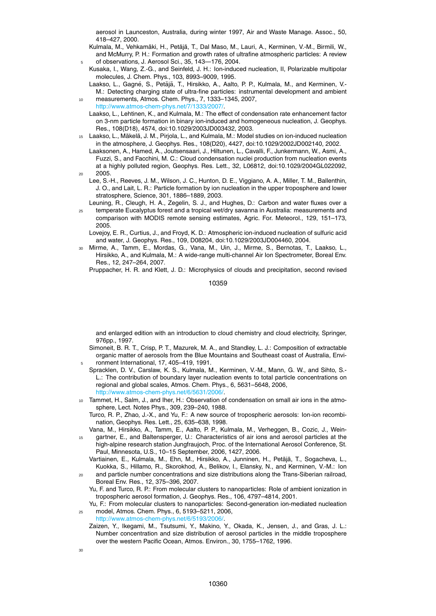aerosol in Launceston, Australia, during winter 1997, Air and Waste Manage. Assoc., 50, 418–427, 2000.

- Kulmala, M., Vehkamäki, H., Petäjä, T., Dal Maso, M., Lauri, A., Kerminen, V.-M., Birmili, W., and McMurry, P. H.: Formation and growth rates of ultrafine atmospheric particles: A review <sup>5</sup> of observations, J. Aerosol Sci., 35, 143—176, 2004.
- Kusaka, I., Wang, Z.-G., and Seinfeld, J. H.: Ion-induced nucleation, II, Polarizable multipolar molecules, J. Chem. Phys., 103, 8993–9009, 1995.
- Laakso, L., Gagné, S., Petäjä, T., Hirsikko, A., Aalto, P. P., Kulmala, M., and Kerminen, V.-M.: Detecting charging state of ultra-fine particles: instrumental development and ambient
- <sup>10</sup> measurements, Atmos. Chem. Phys., 7, 1333–1345, 2007, http://www.atmos-chem-phys.net/7/1333/2007/.
	- Laakso, L., Lehtinen, K., and Kulmala, M.: The effect of condensation rate enhancement factor on 3-nm particle formation in binary ion-induced and homogeneous nucleation, J. Geophys. Res., 108(D18), 4574, doi:10.1029/2003JD003432, 2003.
- 15 Laakso, L., Mäkelä, J. M., Pirjola, L., and Kulmala, M.: Model studies on ion-induced nucleation in the atmosphere, J. Geophys. Res., 108(D20), 4427, doi:10.1029/2002JD002140, 2002.
- Laaksonen, A., Hamed, A., Joutsensaari, J., Hiltunen, L., Cavalli, F., Junkermann, W., Asmi, A., Fuzzi, S., and Facchini, M. C.: Cloud condensation nuclei production from nucleation events at a highly polluted region, Geophys. Res. Lett., 32, L06812, doi:10.1029/2004GL022092, <sup>20</sup> 2005.
	- Lee, S.-H., Reeves, J. M., Wilson, J. C., Hunton, D. E., Viggiano, A. A., Miller, T. M., Ballenthin, J. O., and Lait, L. R.: Particle formation by ion nucleation in the upper troposphere and lower stratosphere, Science, 301, 1886–1889, 2003.
- Leuning, R., Cleugh, H. A., Zegelin, S. J., and Hughes, D.: Carbon and water fluxes over a <sup>25</sup> temperate Eucalyptus forest and a tropical wet/dry savanna in Australia: measurements and
- comparison with MODIS remote sensing estimates, Agric. For. Meteorol., 129, 151–173, 2005.
	- Lovejoy, E. R., Curtius, J., and Froyd, K. D.: Atmospheric ion-induced nucleation of sulfuric acid and water, J. Geophys. Res., 109, D08204, doi:10.1029/2003JD004460, 2004.
- <sup>30</sup> Mirme, A., Tamm, E., Mordas, G., Vana, M., Uin, J., Mirme, S., Bernotas, T., Laakso, L., Hirsikko, A., and Kulmala, M.: A wide-range multi-channel Air Ion Spectrometer, Boreal Env. Res., 12, 247–264, 2007.

Pruppacher, H. R. and Klett, J. D.: Microphysics of clouds and precipitation, second revised

10359

and enlarged edition with an introduction to cloud chemistry and cloud electricity, Springer, 976pp., 1997.

- Simoneit, B. R. T., Crisp, P. T., Mazurek, M. A., and Standley, L. J.: Composition of extractable organic matter of aerosols from the Blue Mountains and Southeast coast of Australia, Environment International, 17, 405-419, 1991.
- Spracklen, D. V., Carslaw, K. S., Kulmala, M., Kerminen, V.-M., Mann, G. W., and Sihto, S.- L.: The contribution of boundary layer nucleation events to total particle concentrations on regional and global scales, Atmos. Chem. Phys., 6, 5631–5648, 2006, http://www.atmos-chem-phys.net/6/5631/2006/.
- <sup>10</sup> Tammet, H., Salm, J., and Iher, H.: Observation of condensation on small air ions in the atmosphere, Lect. Notes Phys., 309, 239–240, 1988.
	- Turco, R. P., Zhao, J.-X., and Yu, F.: A new source of tropospheric aerosols: Ion-ion recombination, Geophys. Res. Lett., 25, 635–638, 1998.
- Vana, M., Hirsikko, A., Tamm, E., Aalto, P. P., Kulmala, M., Verheggen, B., Cozic, J., Wein-<sup>15</sup> gartner, E., and Baltensperger, U.: Characteristics of air ions and aerosol particles at the high-alpine research station Jungfraujoch, Proc. of the International Aerosol Conference, St. Paul, Minnesota, U.S., 10–15 September, 2006, 1427, 2006.
- Vartiainen, E., Kulmala, M., Ehn, M., Hirsikko, A., Junninen, H., Petäjä, T., Sogacheva, L., Kuokka, S., Hillamo, R., Skorokhod, A., Belikov, I., Elansky, N., and Kerminen, V.-M.: Ion <sup>20</sup> and particle number concentrations and size distributions along the Trans-Siberian railroad,
	- Boreal Env. Res., 12, 375–396, 2007. Yu, F. and Turco, R. P.: From molecular clusters to nanoparticles: Role of ambient ionization in tropospheric aerosol formation, J. Geophys. Res., 106, 4797–4814, 2001.
- Yu, F.: From molecular clusters to nanoparticles: Second-generation ion-mediated nucleation <sup>25</sup> model, Atmos. Chem. Phys., 6, 5193–5211, 2006,
	- http://www.atmos-chem-phys.net/6/5193/2006/.
	- Zaizen, Y., Ikegami, M., Tsutsumi, Y., Makino, Y., Okada, K., Jensen, J., and Gras, J. L.: Number concentration and size distribution of aerosol particles in the middle troposphere over the western Pacific Ocean, Atmos. Environ., 30, 1755–1762, 1996.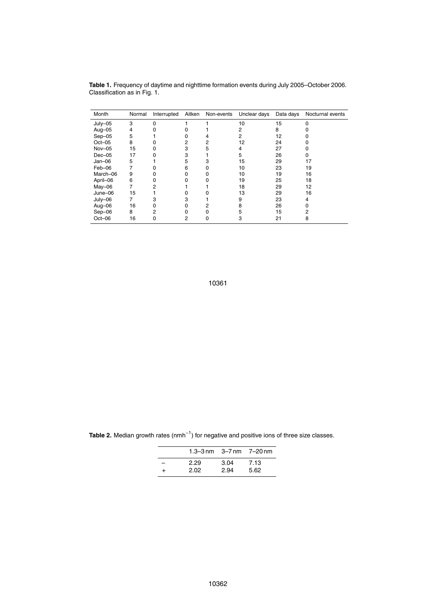| Month    | Normal | Interrupted | Aitken | Non-events | Unclear days | Data days | Nocturnal events |
|----------|--------|-------------|--------|------------|--------------|-----------|------------------|
| July-05  | 3      | 0           |        |            | 10           | 15        |                  |
| Aug-05   | 4      |             |        |            | 2            | 8         |                  |
| $Sep-05$ | 5      |             |        |            | 2            | 12        |                  |
| $Oct-05$ | 8      |             |        |            | 12           | 24        |                  |
| Nov-05   | 15     |             | 3      | 5          | 4            | 27        |                  |
| $Dec-05$ | 17     |             |        |            | 5            | 26        |                  |
| $Jan-06$ | 5      |             | 5      |            | 15           | 29        | 17               |
| Feb-06   |        |             | 6      |            | 10           | 23        | 19               |
| March-06 | 9      |             |        |            | 10           | 19        | 16               |
| April-06 | 6      |             |        |            | 19           | 25        | 18               |
| May-06   | 7      |             |        |            | 18           | 29        | 12               |
| June-06  | 15     |             |        |            | 13           | 29        | 16               |
| July-06  | 7      |             | з      |            | 9            | 23        | 4                |
| Aug-06   | 16     |             |        |            | 8            | 26        |                  |
| Sep-06   | 8      | 2           |        |            | 5            | 15        | 2                |
| Oct-06   | 16     |             | 2      | O          | 3            | 21        | 8                |

**Table 1.** Frequency of daytime and nighttime formation events during July 2005–October 2006. Classification as in Fig. 1.

10361

Table 2. Median growth rates (nmh<sup>-1</sup>) for negative and positive ions of three size classes.  $\overline{\phantom{a}}$ 

|                              | 1.3–3 nm $-3$ –7 nm $-7$ –20 nm |      |      |
|------------------------------|---------------------------------|------|------|
| $\qquad \qquad \blacksquare$ | 2.29                            | 3.04 | 7.13 |
| $\pm$                        | 2.02                            | 2.94 | 5.62 |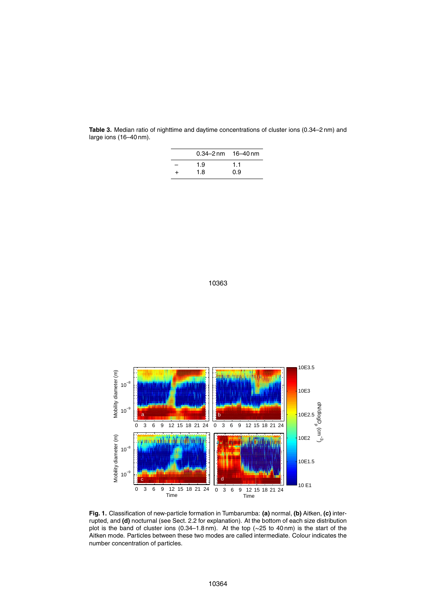| $0.34 - 2 \text{ nm}$ 16-40 nm |     |
|--------------------------------|-----|
| 1.9                            | 1.1 |
| 1.8                            | 0.9 |

**Table 3.** Median ratio of nighttime and daytime concentrations of cluster ions (0.34–2 nm) and large ions (16–40 nm).





**Fig. 1.** Classification of new-particle formation in Tumbarumba: **(a)** normal, **(b)** Aitken, **(c)** interrupted, and **(d)** nocturnal (see Sect. 2.2 for explanation). At the bottom of each size distribution plot is the band of cluster ions (0.34–1.8 nm). At the top (∼25 to 40 nm) is the start of the Aitken mode. Particles between these two modes are called intermediate. Colour indicates the number concentration of particles.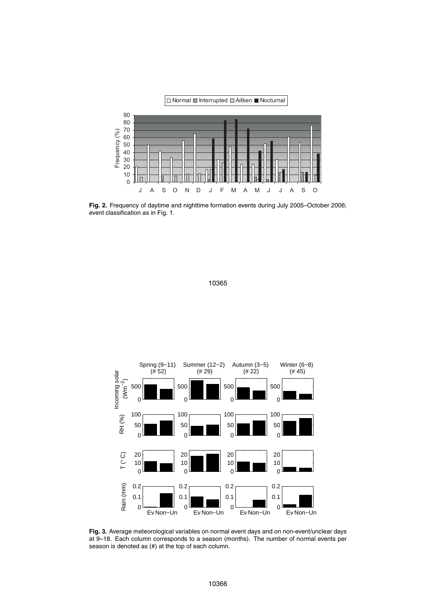

**Fig. 2.** Frequency of daytime and nighttime formation events during July 2005–October 2006; event classification as in Fig. 1.





**Fig. 3.** Average meteorological variables on normal event days and on non-event/unclear days at 9–18. Each column corresponds to a season (months). The number of normal events per season is denoted as (#) at the top of each column.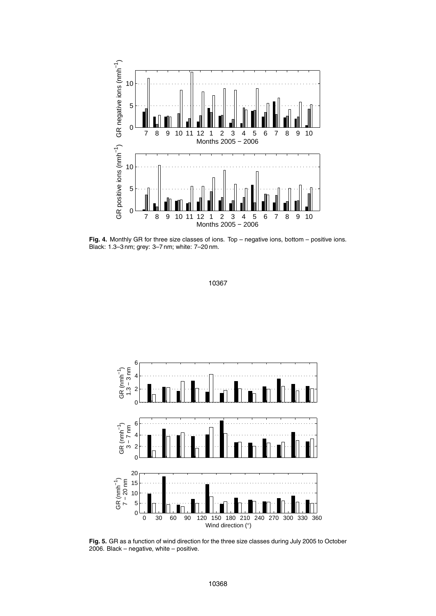

Fig. 4. Monthly GR for three size classes of ions. Top – negative ions, bottom – positive ions. Black: 1.3–3 nm; grey: 3–7 nm; white: 7–20 nm.



**Fig. 5.** GR as a function of wind direction for the three size classes during July 2005 to October 2006. Black – negative, white – positive.